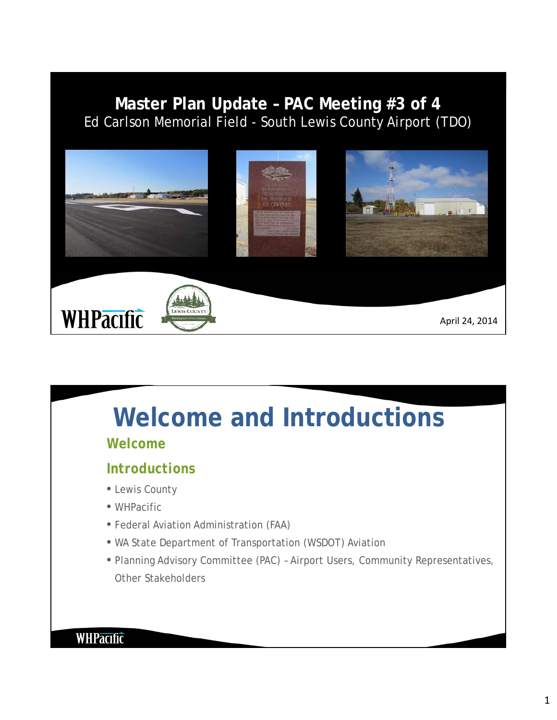#### **Master Plan Update – PAC Meeting #3 of 4** Ed Carlson Memorial Field - South Lewis County Airport (TDO)



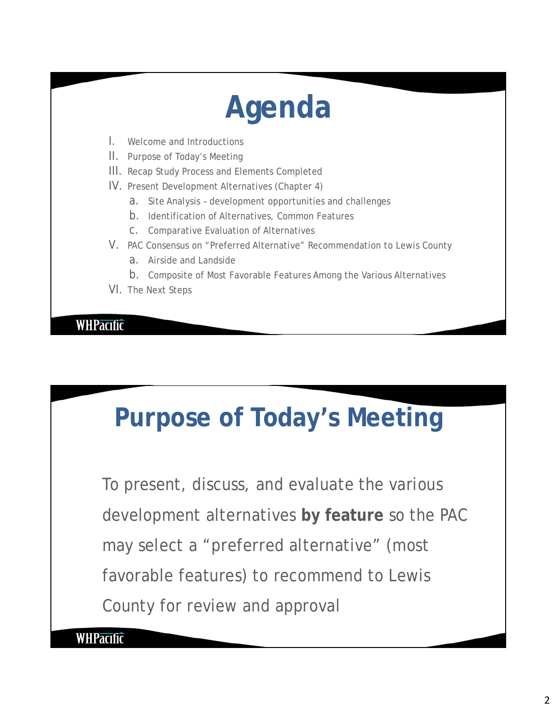# **Agenda**

- I. Welcome and Introductions
- II. Purpose of Today's Meeting
- III. Recap Study Process and Elements Completed
- IV. Present Development Alternatives (Chapter 4)
	- a. Site Analysis development opportunities and challenges
	- b. Identification of Alternatives, Common Features
	- c. Comparative Evaluation of Alternatives
- V. PAC Consensus on "Preferred Alternative" Recommendation to Lewis County
	- a. Airside and Landside
	- b. Composite of Most Favorable Features Among the Various Alternatives
- VI. The Next Steps

**WHPacific** 

### **Purpose of Today's Meeting**

To present, discuss, and evaluate the various development alternatives **by feature** so the PAC may select a "preferred alternative" (most favorable features) to recommend to Lewis County for review and approval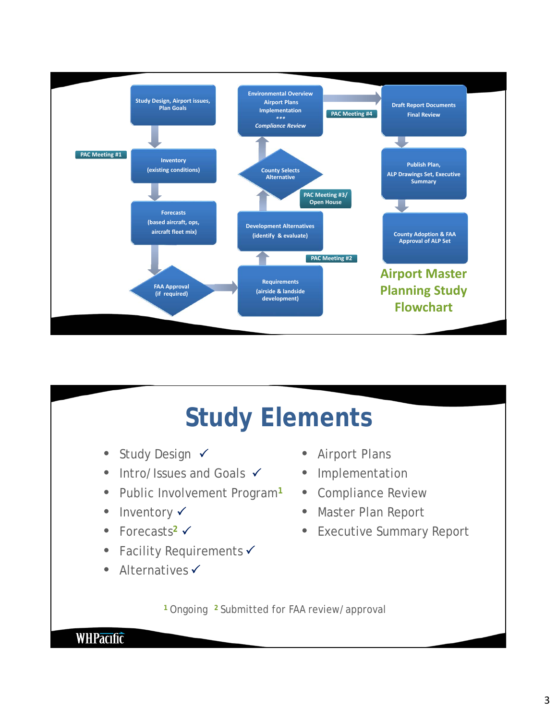

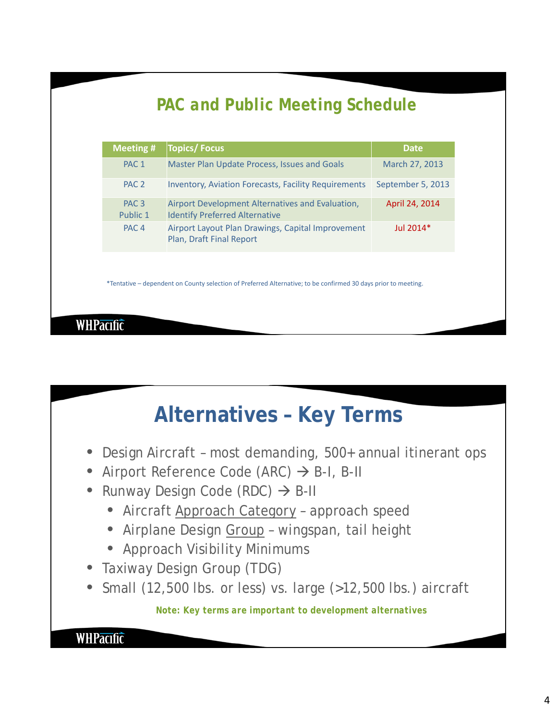### *PAC and Public Meeting Schedule*

| Master Plan Update Process, Issues and Goals<br>PAC <sub>1</sub><br>March 27, 2013<br>PAC <sub>2</sub><br>September 5, 2013<br><b>Inventory, Aviation Forecasts, Facility Requirements</b><br>Airport Development Alternatives and Evaluation,<br>PAC <sub>3</sub><br>April 24, 2014<br>Public 1<br><b>Identify Preferred Alternative</b><br>Airport Layout Plan Drawings, Capital Improvement<br>$Jul$ 2014*<br>PAC <sub>4</sub><br>Plan, Draft Final Report |  |  |
|---------------------------------------------------------------------------------------------------------------------------------------------------------------------------------------------------------------------------------------------------------------------------------------------------------------------------------------------------------------------------------------------------------------------------------------------------------------|--|--|
|                                                                                                                                                                                                                                                                                                                                                                                                                                                               |  |  |
|                                                                                                                                                                                                                                                                                                                                                                                                                                                               |  |  |
|                                                                                                                                                                                                                                                                                                                                                                                                                                                               |  |  |
|                                                                                                                                                                                                                                                                                                                                                                                                                                                               |  |  |

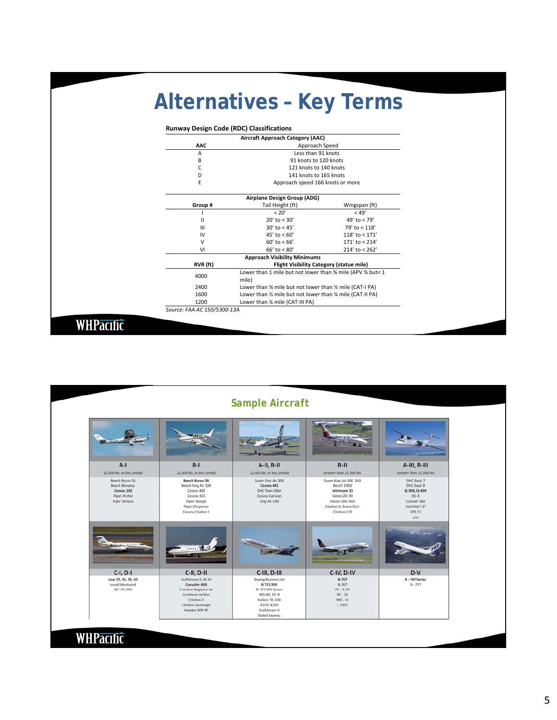### **Alternatives – Key Terms**

|          | Aircraft Approach Category (AAC)                            |                                                           |  |  |
|----------|-------------------------------------------------------------|-----------------------------------------------------------|--|--|
| AAC      |                                                             | Approach Speed                                            |  |  |
| А        |                                                             | Less than 91 knots                                        |  |  |
| B        | 91 knots to 120 knots                                       |                                                           |  |  |
| C        | 121 knots to 140 knots                                      |                                                           |  |  |
| D        | 141 knots to 165 knots                                      |                                                           |  |  |
| E        |                                                             | Approach speed 166 knots or more                          |  |  |
|          | Airplane Design Group (ADG)                                 |                                                           |  |  |
| Group #  | Tail Height (ft)                                            | Wingspan (ft)                                             |  |  |
|          | < 20'                                                       | < 49'                                                     |  |  |
| Ш        | $20'$ to $< 30'$                                            | 49' to $< 79'$                                            |  |  |
| Ш        | $30'$ to < 45'                                              | 79' to < 118'                                             |  |  |
| IV       | $45'$ to $< 60'$                                            | 118' to $<$ 171'                                          |  |  |
| v        | $60'$ to < $66'$                                            | 171' to < 214'                                            |  |  |
| VI       | $66'$ to < $80'$                                            | 214' to < 262'                                            |  |  |
|          | <b>Approach Visibility Minimums</b>                         |                                                           |  |  |
| RVR (ft) |                                                             | Flight Visibility Category (statue mile)                  |  |  |
| 4000     | mile)                                                       | Lower than 1 mile but not lower than % mile (APV % but< 1 |  |  |
| 2400     |                                                             | Lower than % mile but not lower than % mile (CAT-I PA)    |  |  |
| 1600     | Lower than 1/2 mile but not lower than 1/4 mile (CAT-II PA) |                                                           |  |  |
| 1200     | Lower than 1/4 mile (CAT-III PA)                            |                                                           |  |  |

|                                                                                      |                                                                                                                                                 | <b>Sample Aircraft</b>                                                                                                                                    |                                                                                                                                      |                                                                                                               |
|--------------------------------------------------------------------------------------|-------------------------------------------------------------------------------------------------------------------------------------------------|-----------------------------------------------------------------------------------------------------------------------------------------------------------|--------------------------------------------------------------------------------------------------------------------------------------|---------------------------------------------------------------------------------------------------------------|
|                                                                                      |                                                                                                                                                 |                                                                                                                                                           | 22.202                                                                                                                               |                                                                                                               |
| $A-I$<br>12,500 lbs. or less (small)                                                 | $B-I$<br>12,500 lbs. or less (small)                                                                                                            | $A-H$ , $B-H$<br>12,500 lbs. or less (small)                                                                                                              | $B-H$<br>Greater than 12,500 lbs.                                                                                                    | A-III, B-III<br>Greater than 12,500 lbs.                                                                      |
| Beech Baron 55<br>Beech Bonanza<br>Cessna 182<br><b>Piper Archer</b><br>Piper Seneca | <b>Beech Baron 58</b><br>Beech King Air 100<br>Cessna 402<br>Cessna 421<br>Piper Navajo<br>Piper Cheyenne<br>Cessna Citation I                  | Super King Air 200<br>Cessna 441<br>DHC Twin Otter<br>Cessna Caravan<br>King Air C90                                                                      | Super King Air 300, 350<br>Beech 1900<br>Jetstream 31<br>Falcon 20, 50<br>Falcon 200, 900<br>Citation II, Bravo XLS+<br>Citation CJ3 | DHC Dash 7<br>DHC Dash 8<br>$Q-300, Q-400$<br>$DC-3$<br>Convair 580<br>Fairchild F-27<br><b>ATR 72</b><br>ATP |
|                                                                                      |                                                                                                                                                 |                                                                                                                                                           |                                                                                                                                      |                                                                                                               |
| $C-I, D-I$                                                                           | $C-H$ , $D-H$                                                                                                                                   | C-III, D-III                                                                                                                                              | C-IV, D-IV                                                                                                                           | $D-V$                                                                                                         |
| Lear 25, 35, 55, 60<br><b>Israeli Westwind</b><br>HS 125-700                         | Gulfstream II, III, IV<br>Canadair 600<br>Canadair Regional Jet<br>Lockheed JetStar<br>Citation X<br><b>Citation Sovereign</b><br>Hawker 800 XP | <b>Boeing Business Jet</b><br><b>B727-200</b><br><b>B 737-300 Series</b><br>MD-80, DC-9<br>Fokker 70, 100<br>A319, A320<br>Gulfstream V<br>Global Express | $B-757$<br><b>B-767</b><br>$DC - R - 70$<br>$DC - 10$<br>$MD - 11$<br>L 1011                                                         | <b>B-747 Series</b><br>$B - 777$                                                                              |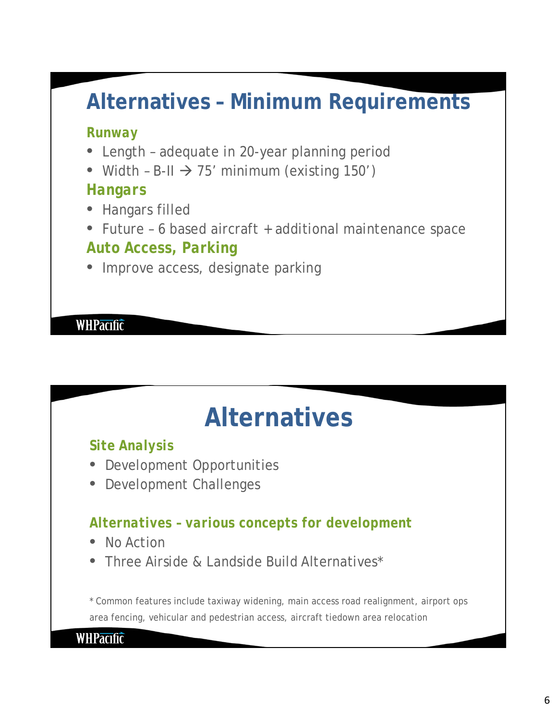### **Alternatives – Minimum Requirements**

#### *Runway*

- Length adequate in 20-year planning period
- Width B-II  $\rightarrow$  75' minimum (existing 150')

#### *Hangars*

- Hangars filled
- Future 6 based aircraft + additional maintenance space *Auto Access, Parking*

• Improve access, designate parking

#### **WHPacific**

### **Alternatives**

#### *Site Analysis*

- Development Opportunities
- Development Challenges

#### *Alternatives – various concepts for development*

- No Action
- Three Airside & Landside Build Alternatives\*

\* Common features include taxiway widening, main access road realignment, airport ops area fencing, vehicular and pedestrian access, aircraft tiedown area relocation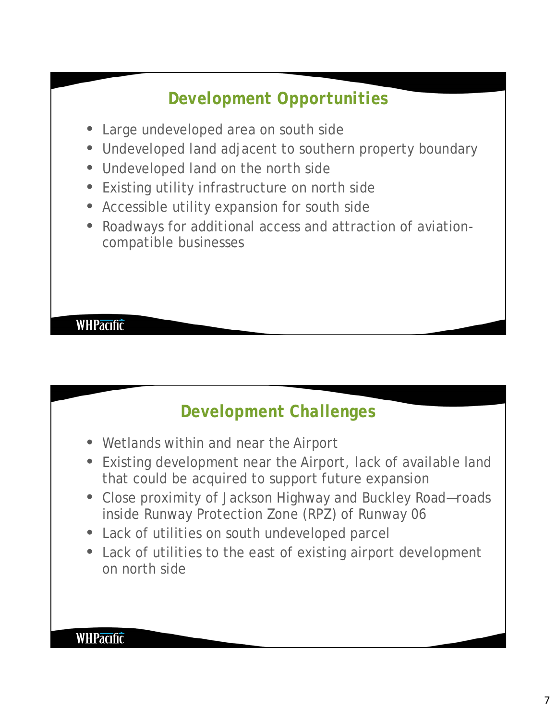### *Development Opportunities*

- Large undeveloped area on south side
- Undeveloped land adjacent to southern property boundary
- Undeveloped land on the north side
- Existing utility infrastructure on north side
- Accessible utility expansion for south side
- Roadways for additional access and attraction of aviationcompatible businesses

#### **WHPacific**

### *Development Challenges*

- Wetlands within and near the Airport
- Existing development near the Airport, lack of available land that could be acquired to support future expansion
- Close proximity of Jackson Highway and Buckley Road—roads inside Runway Protection Zone (RPZ) of Runway 06
- Lack of utilities on south undeveloped parcel
- Lack of utilities to the east of existing airport development on north side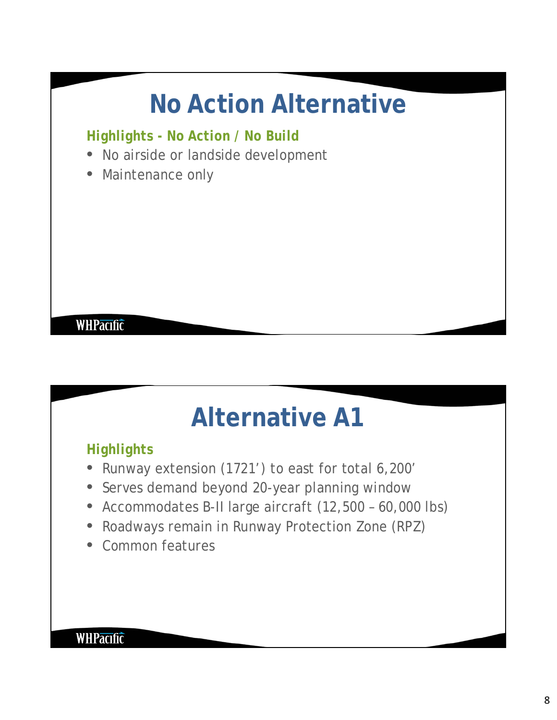## **No Action Alternative**

*Highlights - No Action / No Build*

- No airside or landside development
- Maintenance only

#### **WHPacific**

## **Alternative A1**

#### *Highlights*

- Runway extension (1721') to east for total 6,200'
- Serves demand beyond 20-year planning window
- Accommodates B-II large aircraft (12,500 60,000 lbs)
- Roadways remain in Runway Protection Zone (RPZ)
- Common features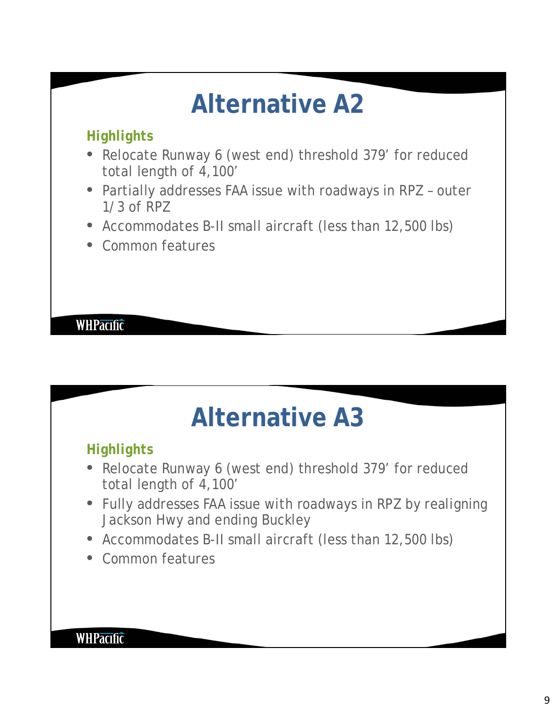

## **Alternative A3**

#### *Highlights*

- Relocate Runway 6 (west end) threshold 379' for reduced total length of 4,100'
- Fully addresses FAA issue with roadways in RPZ by realigning Jackson Hwy and ending Buckley
- Accommodates B-II small aircraft (less than 12,500 lbs)
- Common features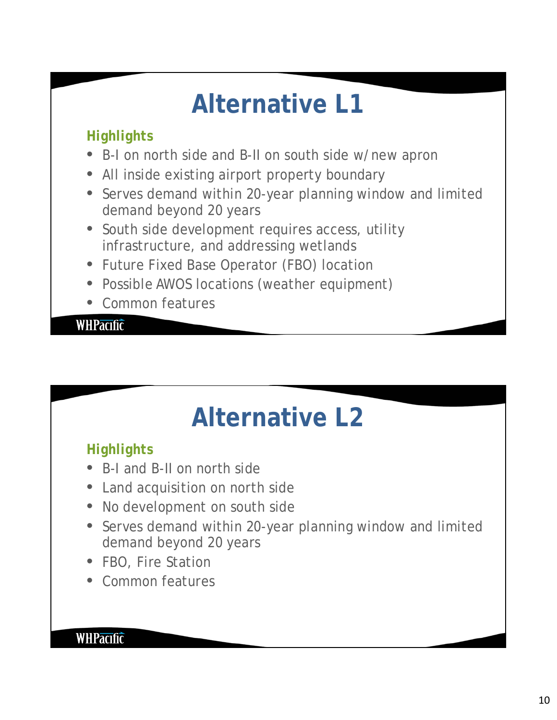## **Alternative L1**

#### *Highlights*

- B-I on north side and B-II on south side w/new apron
- All inside existing airport property boundary
- Serves demand within 20-year planning window and limited demand beyond 20 years
- South side development requires access, utility infrastructure, and addressing wetlands
- Future Fixed Base Operator (FBO) location
- Possible AWOS locations (weather equipment)
- Common features

#### **WHPacific**

## **Alternative L2**

#### *Highlights*

- B-I and B-II on north side
- Land acquisition on north side
- No development on south side
- Serves demand within 20-year planning window and limited demand beyond 20 years
- FBO, Fire Station
- Common features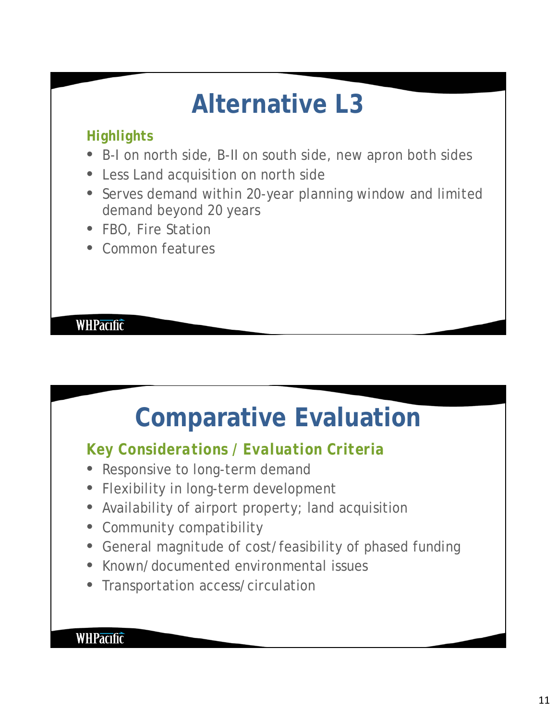## **Alternative L3**

#### *Highlights*

- B-I on north side, B-II on south side, new apron both sides
- Less Land acquisition on north side
- Serves demand within 20-year planning window and limited demand beyond 20 years
- FBO, Fire Station
- Common features

#### **WHPacific**

### **Comparative Evaluation**

### *Key Considerations / Evaluation Criteria*

- Responsive to long-term demand
- Flexibility in long-term development
- Availability of airport property; land acquisition
- Community compatibility
- General magnitude of cost/feasibility of phased funding
- Known/documented environmental issues
- Transportation access/circulation